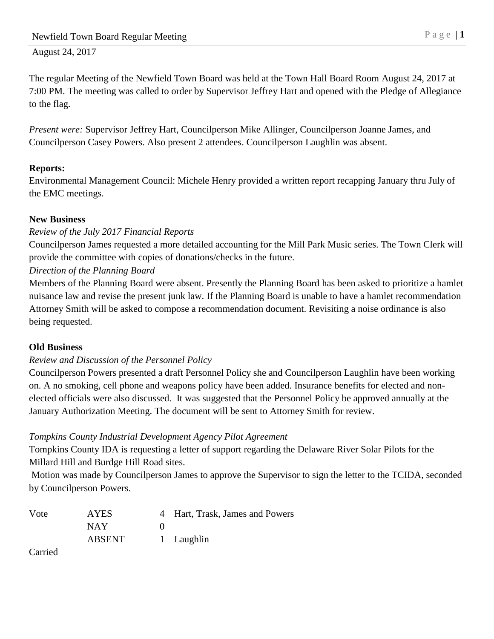August 24, 2017

The regular Meeting of the Newfield Town Board was held at the Town Hall Board Room August 24, 2017 at 7:00 PM. The meeting was called to order by Supervisor Jeffrey Hart and opened with the Pledge of Allegiance to the flag.

*Present were:* Supervisor Jeffrey Hart, Councilperson Mike Allinger, Councilperson Joanne James, and Councilperson Casey Powers. Also present 2 attendees. Councilperson Laughlin was absent.

## **Reports:**

Environmental Management Council: Michele Henry provided a written report recapping January thru July of the EMC meetings.

## **New Business**

## *Review of the July 2017 Financial Reports*

Councilperson James requested a more detailed accounting for the Mill Park Music series. The Town Clerk will provide the committee with copies of donations/checks in the future.

## *Direction of the Planning Board*

Members of the Planning Board were absent. Presently the Planning Board has been asked to prioritize a hamlet nuisance law and revise the present junk law. If the Planning Board is unable to have a hamlet recommendation Attorney Smith will be asked to compose a recommendation document. Revisiting a noise ordinance is also being requested.

### **Old Business**

# *Review and Discussion of the Personnel Policy*

Councilperson Powers presented a draft Personnel Policy she and Councilperson Laughlin have been working on. A no smoking, cell phone and weapons policy have been added. Insurance benefits for elected and nonelected officials were also discussed. It was suggested that the Personnel Policy be approved annually at the January Authorization Meeting. The document will be sent to Attorney Smith for review.

### *Tompkins County Industrial Development Agency Pilot Agreement*

Tompkins County IDA is requesting a letter of support regarding the Delaware River Solar Pilots for the Millard Hill and Burdge Hill Road sites.

Motion was made by Councilperson James to approve the Supervisor to sign the letter to the TCIDA, seconded by Councilperson Powers.

| <b>AYES</b>   | 4 Hart, Trask, James and Powers |
|---------------|---------------------------------|
| NAY           |                                 |
| <b>ABSENT</b> | 1 Laughlin                      |
|               |                                 |

Carried